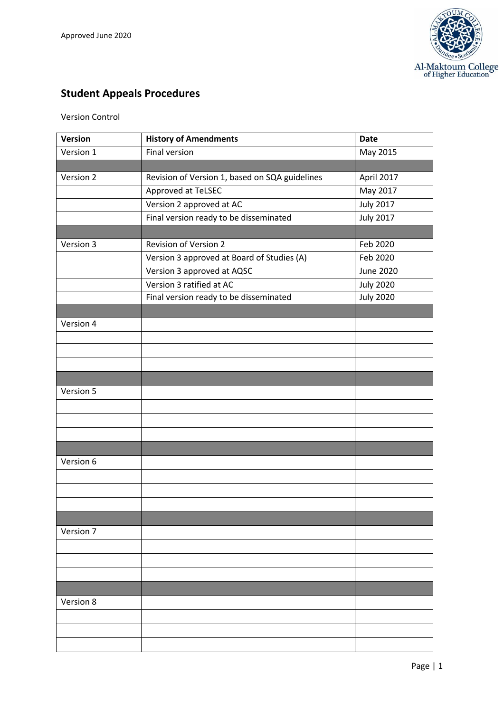

# **Student Appeals Procedures**

Version Control

| Version   | <b>History of Amendments</b>                   | <b>Date</b>      |
|-----------|------------------------------------------------|------------------|
| Version 1 | <b>Final version</b>                           | May 2015         |
|           |                                                |                  |
| Version 2 | Revision of Version 1, based on SQA guidelines | April 2017       |
|           | Approved at TeLSEC                             | May 2017         |
|           | Version 2 approved at AC                       | <b>July 2017</b> |
|           | Final version ready to be disseminated         | <b>July 2017</b> |
|           |                                                |                  |
| Version 3 | <b>Revision of Version 2</b>                   | Feb 2020         |
|           | Version 3 approved at Board of Studies (A)     | Feb 2020         |
|           | Version 3 approved at AQSC                     | <b>June 2020</b> |
|           | Version 3 ratified at AC                       | <b>July 2020</b> |
|           | Final version ready to be disseminated         | <b>July 2020</b> |
|           |                                                |                  |
| Version 4 |                                                |                  |
|           |                                                |                  |
|           |                                                |                  |
|           |                                                |                  |
|           |                                                |                  |
| Version 5 |                                                |                  |
|           |                                                |                  |
|           |                                                |                  |
|           |                                                |                  |
|           |                                                |                  |
| Version 6 |                                                |                  |
|           |                                                |                  |
|           |                                                |                  |
|           |                                                |                  |
|           |                                                |                  |
|           |                                                |                  |
| Version 7 |                                                |                  |
|           |                                                |                  |
|           |                                                |                  |
|           |                                                |                  |
|           |                                                |                  |
| Version 8 |                                                |                  |
|           |                                                |                  |
|           |                                                |                  |
|           |                                                |                  |
|           |                                                |                  |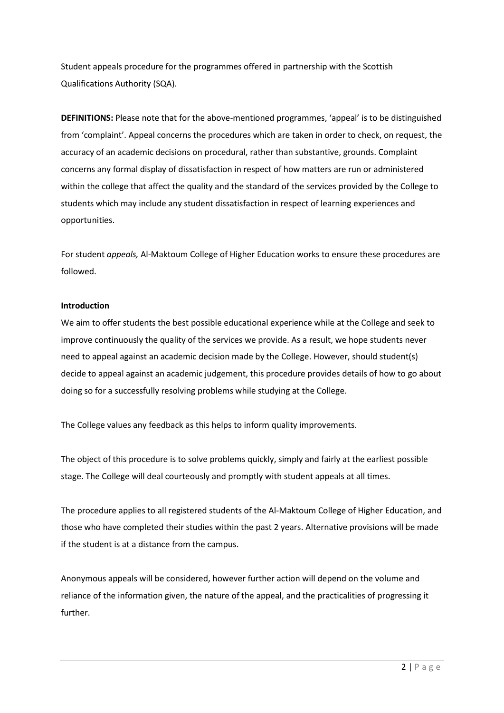Student appeals procedure for the programmes offered in partnership with the Scottish Qualifications Authority (SQA).

**DEFINITIONS:** Please note that for the above-mentioned programmes, 'appeal' is to be distinguished from 'complaint'. Appeal concerns the procedures which are taken in order to check, on request, the accuracy of an academic decisions on procedural, rather than substantive, grounds. Complaint concerns any formal display of dissatisfaction in respect of how matters are run or administered within the college that affect the quality and the standard of the services provided by the College to students which may include any student dissatisfaction in respect of learning experiences and opportunities.

For student *appeals,* Al-Maktoum College of Higher Education works to ensure these procedures are followed.

#### **Introduction**

We aim to offer students the best possible educational experience while at the College and seek to improve continuously the quality of the services we provide. As a result, we hope students never need to appeal against an academic decision made by the College. However, should student(s) decide to appeal against an academic judgement, this procedure provides details of how to go about doing so for a successfully resolving problems while studying at the College.

The College values any feedback as this helps to inform quality improvements.

The object of this procedure is to solve problems quickly, simply and fairly at the earliest possible stage. The College will deal courteously and promptly with student appeals at all times.

The procedure applies to all registered students of the Al-Maktoum College of Higher Education, and those who have completed their studies within the past 2 years. Alternative provisions will be made if the student is at a distance from the campus.

Anonymous appeals will be considered, however further action will depend on the volume and reliance of the information given, the nature of the appeal, and the practicalities of progressing it further.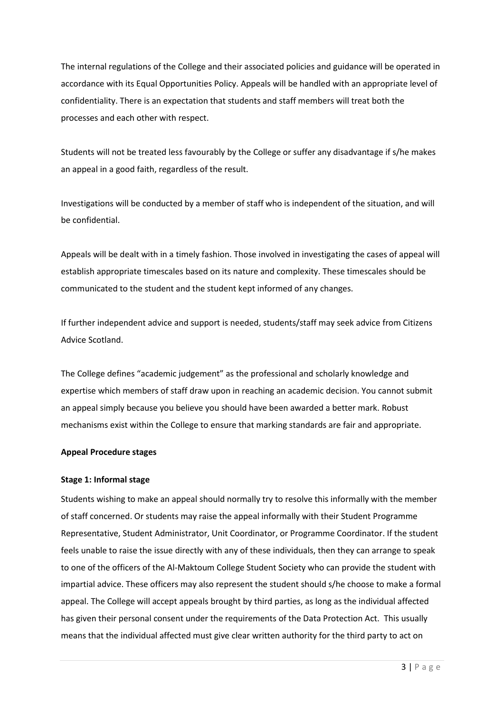The internal regulations of the College and their associated policies and guidance will be operated in accordance with its Equal Opportunities Policy. Appeals will be handled with an appropriate level of confidentiality. There is an expectation that students and staff members will treat both the processes and each other with respect.

Students will not be treated less favourably by the College or suffer any disadvantage if s/he makes an appeal in a good faith, regardless of the result.

Investigations will be conducted by a member of staff who is independent of the situation, and will be confidential.

Appeals will be dealt with in a timely fashion. Those involved in investigating the cases of appeal will establish appropriate timescales based on its nature and complexity. These timescales should be communicated to the student and the student kept informed of any changes.

If further independent advice and support is needed, students/staff may seek advice from Citizens Advice Scotland.

The College defines "academic judgement" as the professional and scholarly knowledge and expertise which members of staff draw upon in reaching an academic decision. You cannot submit an appeal simply because you believe you should have been awarded a better mark. Robust mechanisms exist within the College to ensure that marking standards are fair and appropriate.

#### **Appeal Procedure stages**

#### **Stage 1: Informal stage**

Students wishing to make an appeal should normally try to resolve this informally with the member of staff concerned. Or students may raise the appeal informally with their Student Programme Representative, Student Administrator, Unit Coordinator, or Programme Coordinator. If the student feels unable to raise the issue directly with any of these individuals, then they can arrange to speak to one of the officers of the Al-Maktoum College Student Society who can provide the student with impartial advice. These officers may also represent the student should s/he choose to make a formal appeal. The College will accept appeals brought by third parties, as long as the individual affected has given their personal consent under the requirements of the Data Protection Act. This usually means that the individual affected must give clear written authority for the third party to act on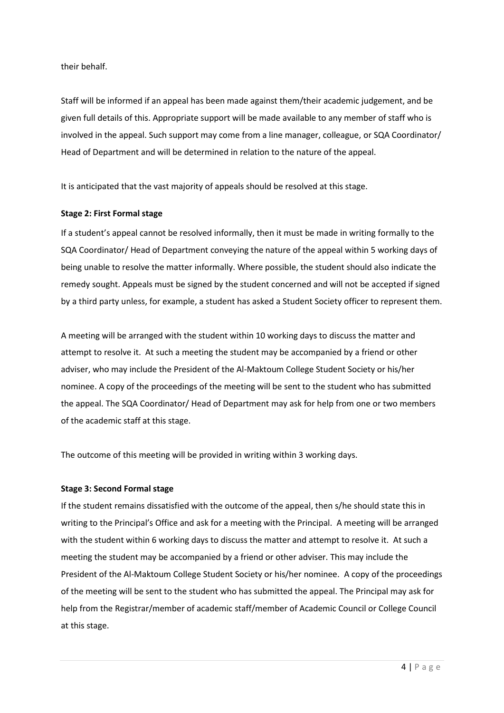their behalf.

Staff will be informed if an appeal has been made against them/their academic judgement, and be given full details of this. Appropriate support will be made available to any member of staff who is involved in the appeal. Such support may come from a line manager, colleague, or SQA Coordinator/ Head of Department and will be determined in relation to the nature of the appeal.

It is anticipated that the vast majority of appeals should be resolved at this stage.

## **Stage 2: First Formal stage**

If a student's appeal cannot be resolved informally, then it must be made in writing formally to the SQA Coordinator/ Head of Department conveying the nature of the appeal within 5 working days of being unable to resolve the matter informally. Where possible, the student should also indicate the remedy sought. Appeals must be signed by the student concerned and will not be accepted if signed by a third party unless, for example, a student has asked a Student Society officer to represent them.

A meeting will be arranged with the student within 10 working days to discuss the matter and attempt to resolve it. At such a meeting the student may be accompanied by a friend or other adviser, who may include the President of the Al-Maktoum College Student Society or his/her nominee. A copy of the proceedings of the meeting will be sent to the student who has submitted the appeal. The SQA Coordinator/ Head of Department may ask for help from one or two members of the academic staff at this stage.

The outcome of this meeting will be provided in writing within 3 working days.

#### **Stage 3: Second Formal stage**

If the student remains dissatisfied with the outcome of the appeal, then s/he should state this in writing to the Principal's Office and ask for a meeting with the Principal. A meeting will be arranged with the student within 6 working days to discuss the matter and attempt to resolve it. At such a meeting the student may be accompanied by a friend or other adviser. This may include the President of the Al-Maktoum College Student Society or his/her nominee. A copy of the proceedings of the meeting will be sent to the student who has submitted the appeal. The Principal may ask for help from the Registrar/member of academic staff/member of Academic Council or College Council at this stage.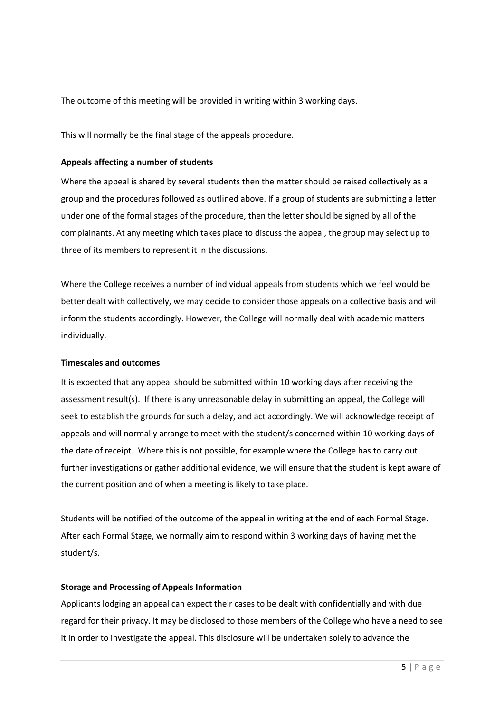The outcome of this meeting will be provided in writing within 3 working days.

This will normally be the final stage of the appeals procedure.

### **Appeals affecting a number of students**

Where the appeal is shared by several students then the matter should be raised collectively as a group and the procedures followed as outlined above. If a group of students are submitting a letter under one of the formal stages of the procedure, then the letter should be signed by all of the complainants. At any meeting which takes place to discuss the appeal, the group may select up to three of its members to represent it in the discussions.

Where the College receives a number of individual appeals from students which we feel would be better dealt with collectively, we may decide to consider those appeals on a collective basis and will inform the students accordingly. However, the College will normally deal with academic matters individually.

#### **Timescales and outcomes**

It is expected that any appeal should be submitted within 10 working days after receiving the assessment result(s). If there is any unreasonable delay in submitting an appeal, the College will seek to establish the grounds for such a delay, and act accordingly. We will acknowledge receipt of appeals and will normally arrange to meet with the student/s concerned within 10 working days of the date of receipt. Where this is not possible, for example where the College has to carry out further investigations or gather additional evidence, we will ensure that the student is kept aware of the current position and of when a meeting is likely to take place.

Students will be notified of the outcome of the appeal in writing at the end of each Formal Stage. After each Formal Stage, we normally aim to respond within 3 working days of having met the student/s.

#### **Storage and Processing of Appeals Information**

Applicants lodging an appeal can expect their cases to be dealt with confidentially and with due regard for their privacy. It may be disclosed to those members of the College who have a need to see it in order to investigate the appeal. This disclosure will be undertaken solely to advance the